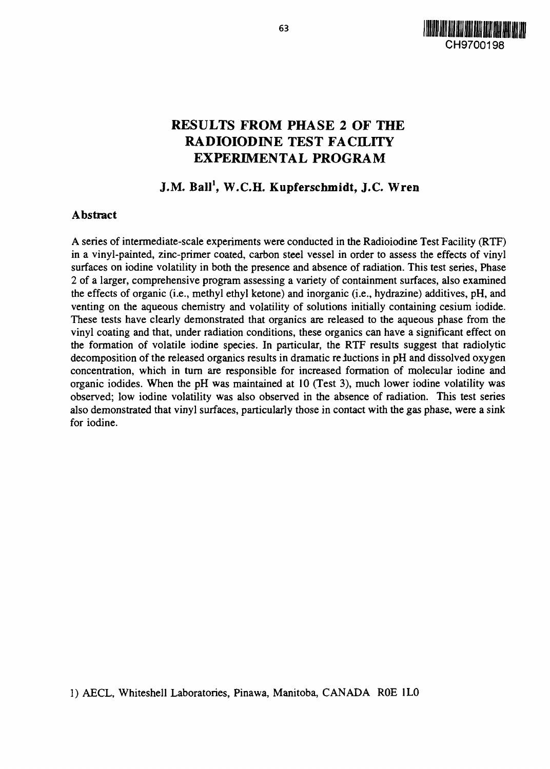

# **RESULTS FROM PHASE 2 OF THE RADIOIODINE TEST FACILITY EXPERIMENTAL PROGRAM**

# **J.M. Ball<sup>1</sup> , W.C.H. Kupferschmidt, J.C. Wren**

### **Abstract**

A series of intermediate-scale experiments were conducted in the Radioiodine Test Facility (RTF) in a vinyl-painted, zinc-primer coated, carbon steel vessel in order to assess the effects of vinyl surfaces on iodine volatility in both the presence and absence of radiation. This test series, Phase 2 of a larger, comprehensive program assessing a variety of containment surfaces, also examined the effects of organic (i.e., methyl ethyl ketone) and inorganic (i.e., hydrazine) additives, pH, and venting on the aqueous chemistry and volatility of solutions initially containing cesium iodide. These tests have clearly demonstrated that organics are released to the aqueous phase from the vinyl coating and that, under radiation conditions, these organics can have a significant effect on the formation of volatile iodine species. In particular, the RTF results suggest that radiolytic decomposition of the released organics results in dramatic reductions in pH and dissolved oxygen concentration, which in turn are responsible for increased formation of molecular iodine and organic iodides. When the pH was maintained at 10 (Test 3), much lower iodine volatility was observed; low iodine volatility was also observed in the absence of radiation. This test series also demonstrated that vinyl surfaces, particularly those in contact with the gas phase, were a sink for iodine.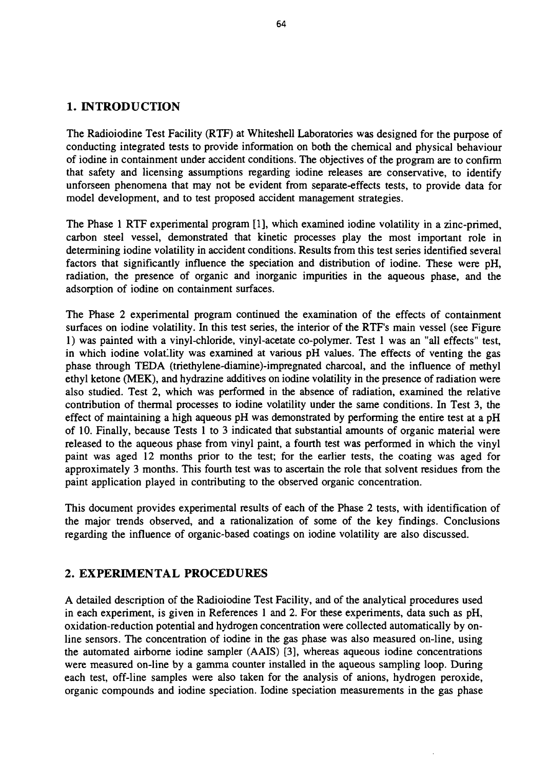# **1. INTRODUCTION**

The Radioiodine Test Facility (RTF) at Whiteshell Laboratories was designed for the purpose of conducting integrated tests to provide information on both the chemical and physical behaviour of iodine in containment under accident conditions. The objectives of the program are to confirm that safety and licensing assumptions regarding iodine releases are conservative, to identify unforseen phenomena that may not be evident from separate-effects tests, to provide data for model development, and to test proposed accident management strategies.

The Phase 1 RTF experimental program [1], which examined iodine volatility in a zinc-primed, carbon steel vessel, demonstrated that kinetic processes play the most important role in determining iodine volatility in accident conditions. Results from this test series identified several factors that significantly influence the speciation and distribution of iodine. These were pH, radiation, the presence of organic and inorganic impurities in the aqueous phase, and the adsorption of iodine on containment surfaces.

The Phase 2 experimental program continued the examination of the effects of containment surfaces on iodine volatility. In this test series, the interior of the RTF's main vessel (see Figure 1) was painted with a vinyl-chloride, vinyl-acetate co-polymer. Test 1 was an "all effects" test, in which iodine volatility was examined at various pH values. The effects of venting the gas phase through TEDA (triethylene-diamine)-impregnated charcoal, and the influence of methyl ethyl ketone (MEK), and hydrazine additives on iodine volatility in the presence of radiation were also studied. Test 2, which was performed in the absence of radiation, examined the relative contribution of thermal processes to iodine volatility under the same conditions. In Test 3, the effect of maintaining a high aqueous pH was demonstrated by performing the entire test at a pH of 10. Finally, because Tests 1 to 3 indicated that substantial amounts of organic material were released to the aqueous phase from vinyl paint, a fourth test was performed in which the vinyl paint was aged 12 months prior to the test; for the earlier tests, the coating was aged for approximately 3 months. This fourth test was to ascertain the role that solvent residues from the paint application played in contributing to the observed organic concentration.

This document provides experimental results of each of the Phase 2 tests, with identification of the major trends observed, and a rationalization of some of the key findings. Conclusions regarding the influence of organic-based coatings on iodine volatility are also discussed.

### **2. EXPERIMENTAL PROCEDURES**

A detailed description of the Radioiodine Test Facility, and of the analytical procedures used in each experiment, is given in References 1 and 2. For these experiments, data such as pH, oxidation-reduction potential and hydrogen concentration were collected automatically by online sensors. The concentration of iodine in the gas phase was also measured on-line, using the automated airborne iodine sampler (AAIS) [3], whereas aqueous iodine concentrations were measured on-line by a gamma counter installed in the aqueous sampling loop. During each test, off-line samples were also taken for the analysis of anions, hydrogen peroxide, organic compounds and iodine speciation. Iodine speciation measurements in the gas phase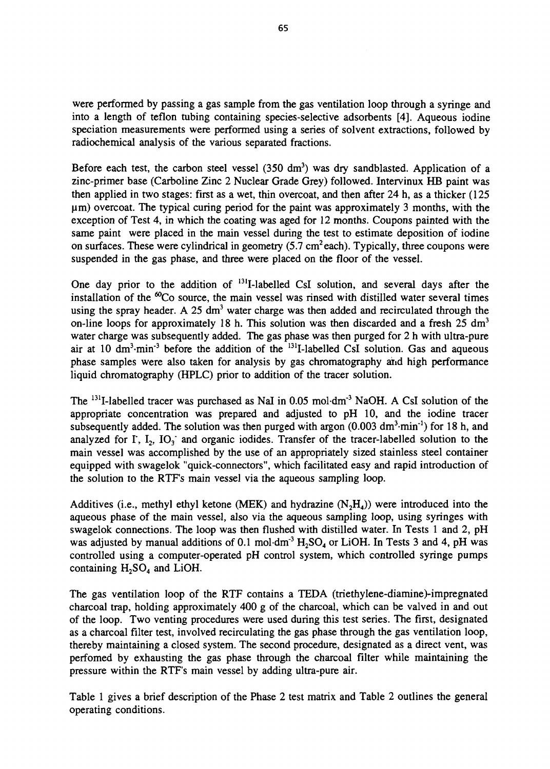were performed by passing a gas sample from the gas ventilation loop through a syringe and into a length of teflon tubing containing species-selective adsorbents [4]. Aqueous iodine speciation measurements were performed using a series of solvent extractions, followed by radiochemical analysis of the various separated fractions.

Before each test, the carbon steel vessel  $(350 \text{ dm}^3)$  was dry sandblasted. Application of a zinc-primer base (Carboline Zinc 2 Nuclear Grade Grey) followed. Intervinux HB paint was then applied in two stages: first as a wet, thin overcoat, and then after 24 h, as a thicker (125 um) overcoat. The typical curing period for the paint was approximately 3 months, with the exception of Test 4, in which the coating was aged for 12 months. Coupons painted with the same paint were placed in the main vessel during the test to estimate deposition of iodine on surfaces. These were cylindrical in geometry  $(5.7 \text{ cm}^2 \text{ each})$ . Typically, three coupons were suspended in the gas phase, and three were placed on the floor of the vessel.

One day prior to the addition of <sup>131</sup>I-labelled CsI solution, and several days after the installation of the  ${}^{60}Co$  source, the main vessel was rinsed with distilled water several times using the spray header. A 25 dm<sup>3</sup> water charge was then added and recirculated through the on-line loops for approximately 18 h. This solution was then discarded and a fresh 25 dm<sup>3</sup> water charge was subsequently added. The gas phase was then purged for 2 h with ultra-pure air at 10  $\text{dm}^3$ -min<sup>-3</sup> before the addition of the <sup>131</sup>I-labelled CsI solution. Gas and aqueous phase samples were also taken for analysis by gas chromatography and high performance liquid chromatography (HPLC) prior to addition of the tracer solution.

The <sup>131</sup>I-labelled tracer was purchased as NaI in 0.05 mol·dm<sup>-3</sup> NaOH. A CsI solution of the appropriate concentration was prepared and adjusted to pH 10, and the iodine tracer subsequently added. The solution was then purged with argon  $(0.003 \text{ dm}^3 \cdot \text{min}^{-1})$  for 18 h, and analyzed for  $\Gamma$ ,  $I_2$ ,  $IO_3$  and organic iodides. Transfer of the tracer-labelled solution to the main vessel was accomplished by the use of an appropriately sized stainless steel container equipped with swagelok "quick-connectors", which facilitated easy and rapid introduction of the solution to the RTF's main vessel via the aqueous sampling loop.

Additives (i.e., methyl ethyl ketone (MEK) and hydrazine  $(N_2H_4)$ ) were introduced into the aqueous phase of the main vessel, also via the aqueous sampling loop, using syringes with swagelok connections. The loop was then flushed with distilled water. In Tests 1 and 2, pH was adjusted by manual additions of 0.1 mol $\cdot$ dm<sup>-3</sup>  $\text{H}_2$ SO<sub>4</sub> or LiOH. In Tests 3 and 4, pH was controlled using a computer-operated pH control system, which controlled syringe pumps containing  $H_2SO_4$  and LiOH.

The gas ventilation loop of the RTF contains a TEDA (triethylene-diamine)-impregnated charcoal trap, holding approximately 400 g of the charcoal, which can be valved in and out of the loop. Two venting procedures were used during this test series. The first, designated as a charcoal filter test, involved recirculating the gas phase through the gas ventilation loop, thereby maintaining a closed system. The second procedure, designated as a direct vent, was perfomed by exhausting the gas phase through the charcoal filter while maintaining the pressure within the RTF's main vessel by adding ultra-pure air.

Table 1 gives a brief description of the Phase 2 test matrix and Table 2 outlines the general operating conditions.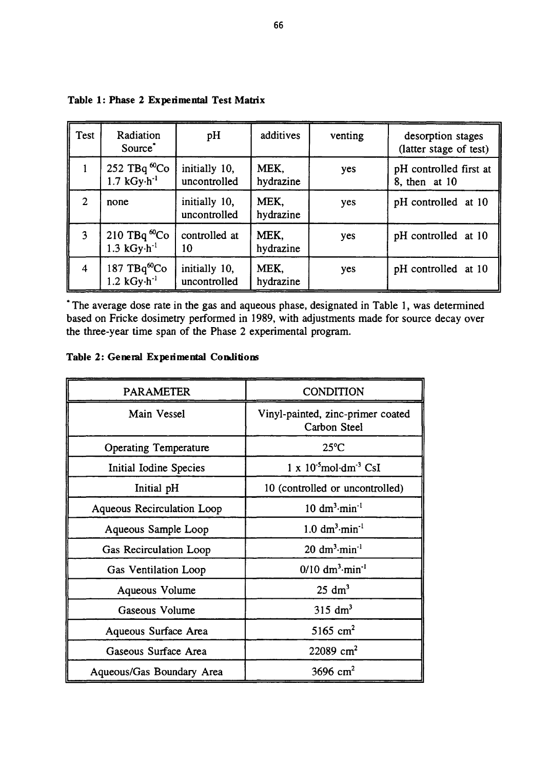| Test           | Radiation<br>Source <sup>*</sup>                              | pH                            | additives         | venting | desorption stages<br>(latter stage of test) |
|----------------|---------------------------------------------------------------|-------------------------------|-------------------|---------|---------------------------------------------|
|                | 252 TBq ${}^{60}Co$<br>$1.7$ kGy $\cdot$ h <sup>-1</sup>      | initially 10,<br>uncontrolled | MEK.<br>hydrazine | yes     | pH controlled first at<br>8, then at 10     |
| $\overline{2}$ | none                                                          | initially 10,<br>uncontrolled | MEK,<br>hydrazine | yes     | pH controlled at 10                         |
| 3              | 210 TBq ${}^{\omega}$ Co<br>$1.3$ kGy $\cdot$ h <sup>-1</sup> | controlled at<br>10           | MEK,<br>hydrazine | yes     | pH controlled at 10                         |
| $\overline{4}$ | $187 \text{ TBq}^6$ Co<br>$1.2$ kGy $\cdot$ h <sup>-1</sup>   | initially 10,<br>uncontrolled | MEK.<br>hydrazine | yes     | pH controlled at 10                         |

## Table 1: Phase 2 Experimental Test Matrix

\* The average dose rate in the gas and aqueous phase, designated in Table 1, was determined based on Fricke dosimetry performed in 1989, with adjustments made for source decay over the three-year time span of the Phase 2 experimental program.

# Table 2: General Experimental Conditions

| <b>PARAMETER</b>             | <b>CONDITION</b>                                    |
|------------------------------|-----------------------------------------------------|
| Main Vessel                  | Vinyl-painted, zinc-primer coated<br>Carbon Steel   |
| <b>Operating Temperature</b> | $25^{\circ}$ C                                      |
| Initial Iodine Species       | $1 \times 10^{-5}$ mol $\cdot$ dm <sup>-3</sup> CsI |
| Initial pH                   | 10 (controlled or uncontrolled)                     |
| Aqueous Recirculation Loop   | $10 \text{ dm}^3 \cdot \text{min}^{-1}$             |
| Aqueous Sample Loop          | $1.0 \text{ dm}^3 \cdot \text{min}^{-1}$            |
| Gas Recirculation Loop       | $20 \text{ dm}^3$ -min <sup>-1</sup>                |
| Gas Ventilation Loop         | $0/10$ dm <sup>3</sup> ·min <sup>-1</sup>           |
| Aqueous Volume               | $25 \text{ dm}^3$                                   |
| Gaseous Volume               | $315 \text{ dm}^3$                                  |
| Aqueous Surface Area         | 5165 cm <sup>2</sup>                                |
| Gaseous Surface Area         | 22089 $cm2$                                         |
| Aqueous/Gas Boundary Area    | 3696 cm <sup>2</sup>                                |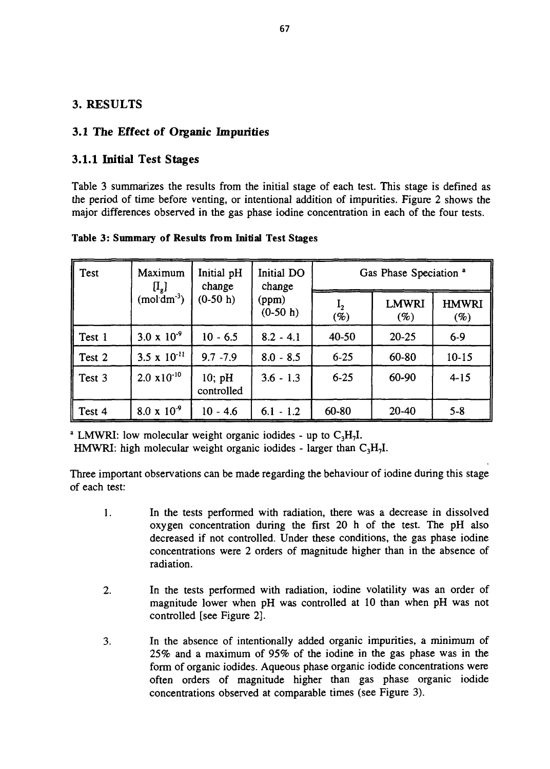# **3. RESULTS**

## **3.1 The Effect of Organic Impurities**

# **3.1.1 Initial Test Stages**

Table 3 summarizes the results from the initial stage of each test. This stage is defined as the period of time before venting, or intentional addition of impurities. Figure 2 shows the major differences observed in the gas phase iodine concentration in each of the four tests.

**Table 3: Summary of Results from Initial Test Stages**

| Test   | Maximum<br>$[I_{\rm g}]$ | Initial pH<br>change              | Initial DO<br>change | Gas Phase Speciation <sup>a</sup> |                        |                        |  |
|--------|--------------------------|-----------------------------------|----------------------|-----------------------------------|------------------------|------------------------|--|
|        | $(mod \overline{dm}^3)$  | $(0-50 h)$<br>(ppm)<br>$(0-50 h)$ |                      | 1 <sub>2</sub><br>$(\%)$          | <b>LMWRI</b><br>$(\%)$ | <b>HMWRI</b><br>$(\%)$ |  |
| Test 1 | $3.0 \times 10^{-9}$     | $10 - 6.5$                        | $8.2 - 4.1$          | 40-50                             | $20 - 25$              | $6-9$                  |  |
| Test 2 | 3.5 x $10^{-11}$         | $9.7 - 7.9$                       | $8.0 - 8.5$          | $6 - 25$                          | 60-80                  | $10 - 15$              |  |
| Test 3 | $2.0 \times 10^{-10}$    | 10; pH<br>controlled              | $3.6 - 1.3$          | $6 - 25$                          | 60-90                  | $4 - 15$               |  |
| Test 4 | $8.0 \times 10^{-9}$     | $10 - 4.6$                        | $6.1 - 1.2$          | 60-80                             | $20 - 40$              | $5 - 8$                |  |

<sup>a</sup> LMWRI: low molecular weight organic iodides - up to  $C_3H_7I$ .

HMWRI: high molecular weight organic iodides - larger than  $C_3H_7I$ .

Three important observations can be made regarding the behaviour of iodine during this stage of each test:

- 1. In the tests performed with radiation, there was a decrease in dissolved oxygen concentration during the first 20 h of the test. The pH also decreased if not controlled. Under these conditions, the gas phase iodine concentrations were 2 orders of magnitude higher than in the absence of radiation.
- $2.$ In the tests performed with radiation, iodine volatility was an order of magnitude lower when pH was controlled at 10 than when pH was not controlled [see Figure 2].
- In the absence of intentionally added organic impurities, a minimum of  $3.$ 25% and a maximum of 95% of the iodine in the gas phase was in the form of organic iodides. Aqueous phase organic iodide concentrations were often orders of magnitude higher than gas phase organic iodide concentrations observed at comparable times (see Figure 3).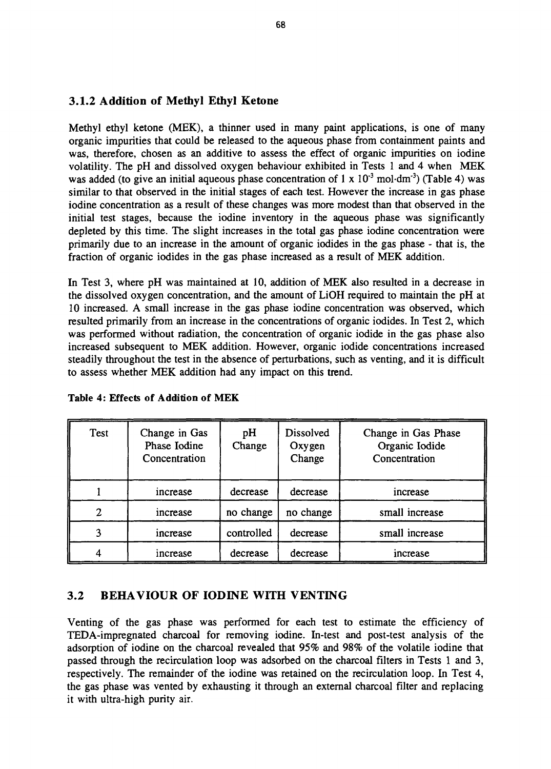# **3.1.2 Addition of Methyl Ethyl Ketone**

Methyl ethyl ketone (MEK), a thinner used in many paint applications, is one of many organic impurities that could be released to the aqueous phase from containment paints and was, therefore, chosen as an additive to assess the effect of organic impurities on iodine volatility. The pH and dissolved oxygen behaviour exhibited in Tests 1 and 4 when MEK was added (to give an initial aqueous phase concentration of 1 x  $10^{-3}$  mol $\cdot$ dm<sup>-3</sup>) (Table 4) was similar to that observed in the initial stages of each test. However the increase in gas phase iodine concentration as a result of these changes was more modest than that observed in the initial test stages, because the iodine inventory in the aqueous phase was significantly depleted by this time. The slight increases in the total gas phase iodine concentration were primarily due to an increase in the amount of organic iodides in the gas phase - that is, the fraction of organic iodides in the gas phase increased as a result of MEK addition.

In Test 3, where pH was maintained at 10, addition of MEK also resulted in a decrease in the dissolved oxygen concentration, and the amount of LiOH required to maintain the pH at 10 increased. A small increase in the gas phase iodine concentration was observed, which resulted primarily from an increase in the concentrations of organic iodides. In Test 2, which was performed without radiation, the concentration of organic iodide in the gas phase also increased subsequent to MEK addition. However, organic iodide concentrations increased steadily throughout the test in the absence of perturbations, such as venting, and it is difficult to assess whether MEK addition had any impact on this trend.

| <b>Test</b> | Change in Gas<br>Phase Iodine<br>Concentration | pH<br>Change | Dissolved<br>Oxygen<br>Change | Change in Gas Phase<br>Organic Iodide<br>Concentration |
|-------------|------------------------------------------------|--------------|-------------------------------|--------------------------------------------------------|
|             | increase                                       | decrease     | decrease                      | increase                                               |
| ◠           | increase                                       | no change    | no change                     | small increase                                         |
|             | increase                                       | controlled   | decrease                      | small increase                                         |
|             | increase                                       | decrease     | decrease                      | increase                                               |

**Table 4: Effects of Addition of** MEK

### **3.2 BEHAVIOUR OF IODINE WITH VENTING**

Venting of the gas phase was performed for each test to estimate the efficiency of TEDA-impregnated charcoal for removing iodine. In-test and post-test analysis of the adsorption of iodine on the charcoal revealed that 95% and 98% of the volatile iodine that passed through the recirculation loop was adsorbed on the charcoal filters in Tests 1 and 3, respectively. The remainder of the iodine was retained on the recirculation loop. In Test 4, the gas phase was vented by exhausting it through an external charcoal filter and replacing it with ultra-high purity air.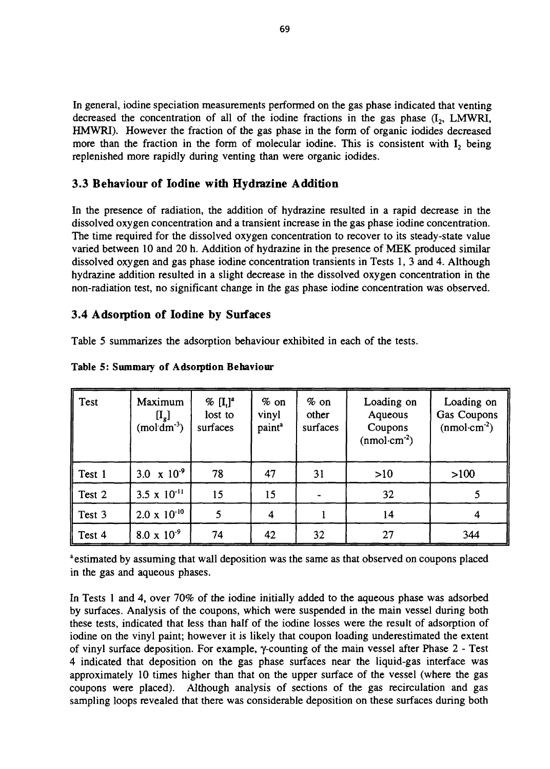In general, iodine speciation measurements performed on the gas phase indicated that venting decreased the concentration of all of the iodine fractions in the gas phase  $(I_2, LMWRI, I_1)$ HMWRI). However the fraction of the gas phase in the form of organic iodides decreased more than the fraction in the form of molecular iodine. This is consistent with  $I_2$  being replenished more rapidly during venting than were organic iodides.

# **3.3 Behaviour of Iodine with Hydrazine Addition**

In the presence of radiation, the addition of hydrazine resulted in a rapid decrease in the dissolved oxygen concentration and a transient increase in the gas phase iodine concentration. The time required for the dissolved oxygen concentration to recover to its steady-state value varied between 10 and 20 h. Addition of hydrazine in the presence of MEK produced similar dissolved oxygen and gas phase iodine concentration transients in Tests 1, 3 and 4. Although hydrazine addition resulted in a slight decrease in the dissolved oxygen concentration in the non-radiation test, no significant change in the gas phase iodine concentration was observed.

### **3.4 Adsorption of Iodine by Surfaces**

Table 5 summarizes the adsorption behaviour exhibited in each of the tests.

| Test   | Maximum<br>$\left[ \mathrm{I}_\mathrm{g} \right]$<br>$(mod \overline{dm}^3)$ | $\%$ $[I_i]^a$<br>lost to<br>surfaces | $%$ on<br>vinyl<br>paint <sup>a</sup> | $%$ on<br>other<br>surfaces | Loading on<br>Aqueous<br>Coupons<br>$(nmol·cm-2)$ | Loading on<br>Gas Coupons<br>$(nmol·cm-2)$ |
|--------|------------------------------------------------------------------------------|---------------------------------------|---------------------------------------|-----------------------------|---------------------------------------------------|--------------------------------------------|
| Test 1 | 3.0 $\times$ 10 <sup>-9</sup>                                                | 78                                    | 47                                    | 31                          | $>10$                                             | $>100$                                     |
| Test 2 | 3.5 $\times$ 10 <sup>-11</sup>                                               | 15                                    | 15                                    |                             | 32                                                |                                            |
| Test 3 | $2.0 \times 10^{-10}$                                                        |                                       | 4                                     |                             | 14                                                |                                            |
| Test 4 | $8.0 \times 10^{-9}$                                                         | 74                                    | 42                                    | 32                          | 27                                                | 344                                        |

#### Table 5: Summary of Adsorption **Behaviour**

<sup>a</sup> estimated by assuming that wall deposition was the same as that observed on coupons placed in the gas and aqueous phases.

In Tests 1 and 4, over 70% of the iodine initially added to the aqueous phase was adsorbed by surfaces. Analysis of the coupons, which were suspended in the main vessel during both these tests, indicated that less than half of the iodine losses were the result of adsorption of iodine on the vinyl paint; however it is likely that coupon loading underestimated the extent of vinyl surface deposition. For example, y-counting of the main vessel after Phase 2 - Test 4 indicated that deposition on the gas phase surfaces near the liquid-gas interface was approximately 10 times higher than that on the upper surface of the vessel (where the gas coupons were placed). Although analysis of sections of the gas recirculation and gas sampling loops revealed that there was considerable deposition on these surfaces during both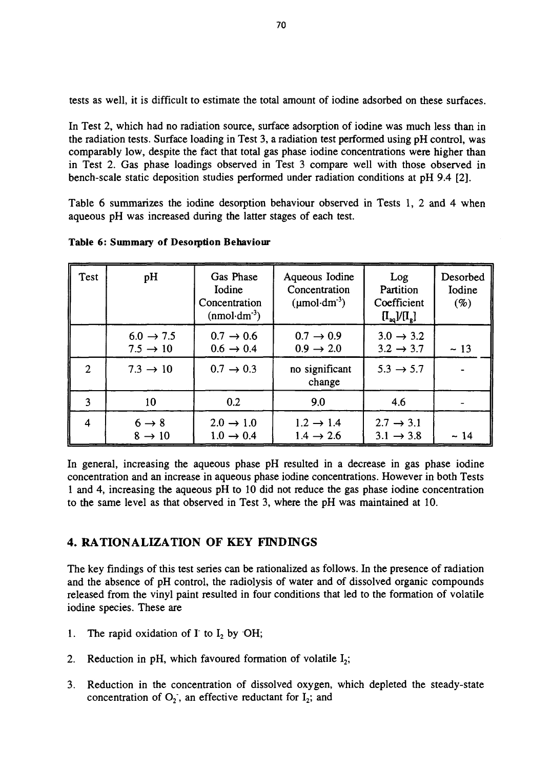tests as well, it is difficult to estimate the total amount of iodine adsorbed on these surfaces.

In Test 2, which had no radiation source, surface adsorption of iodine was much less than in the radiation tests. Surface loading in Test 3, a radiation test performed using pH control, was comparably low, despite the fact that total gas phase iodine concentrations were higher than in Test 2. Gas phase loadings observed in Test 3 compare well with those observed in bench-scale static deposition studies performed under radiation conditions at pH 9.4 [2].

Table 6 summarizes the iodine desorption behaviour observed in Tests 1, 2 and 4 when aqueous pH was increased during the latter stages of each test.

| Test                     | pH                                            | Gas Phase<br>Iodine<br>Concentration<br>$(nmol·dm-3)$ | Aqueous Iodine<br>Concentration<br>$(\mu \text{mol}\cdot \text{dm}^3)$ | Log<br>Partition<br>Coefficient<br>$[I_{\text{aq}}]/[I_{\text{g}}]$ | Desorbed<br>Iodine<br>$(\%)$ |
|--------------------------|-----------------------------------------------|-------------------------------------------------------|------------------------------------------------------------------------|---------------------------------------------------------------------|------------------------------|
|                          | $6.0 \rightarrow 7.5$<br>$7.5 \rightarrow 10$ | $0.7 \rightarrow 0.6$<br>$0.6 \rightarrow 0.4$        | $0.7 \rightarrow 0.9$<br>$0.9 \rightarrow 2.0$                         | $3.0 \rightarrow 3.2$<br>$3.2 \rightarrow 3.7$                      | ~13                          |
| $\overline{2}$           | $7.3 \rightarrow 10$                          | $0.7 \rightarrow 0.3$                                 | no significant<br>change                                               | $5.3 \rightarrow 5.7$                                               |                              |
| 3                        | 10                                            | 0.2                                                   | 9.0                                                                    | 4.6                                                                 |                              |
| $\overline{\mathcal{A}}$ | $6 \rightarrow 8$<br>$8 \rightarrow 10$       | $2.0 \rightarrow 1.0$<br>$1.0 \rightarrow 0.4$        | $1.2 \rightarrow 1.4$<br>$1.4 \rightarrow 2.6$                         | $2.7 \rightarrow 3.1$<br>$3.1 \rightarrow 3.8$                      | - 14                         |

Table 6: Summary of Desorption Behaviour

In general, increasing the aqueous phase pH resulted in a decrease in gas phase iodine concentration and an increase in aqueous phase iodine concentrations. However in both Tests 1 and 4, increasing the aqueous pH to 10 did not reduce the gas phase iodine concentration to the same level as that observed in Test 3, where the pH was maintained at 10.

### 4. RATIONALIZATION OF KEY FINDINGS

The key findings of this test series can be rationalized as follows. In the presence of radiation and the absence of pH control, the radiolysis of water and of dissolved organic compounds released from the vinyl paint resulted in four conditions that led to the formation of volatile iodine species. These are

- 1. The rapid oxidation of  $I^{\dagger}$  to  $I_2$  by OH;
- 2. Reduction in pH, which favoured formation of volatile  $I_2$ ;
- 3. Reduction in the concentration of dissolved oxygen, which depleted the steady-state concentration of  $O_2$ , an effective reductant for  $I_2$ ; and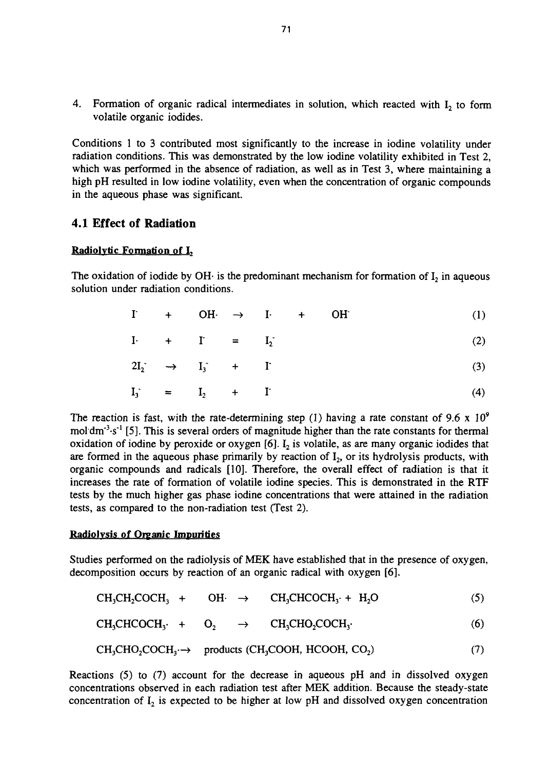4. Formation of organic radical intermediates in solution, which reacted with  $I_2$  to form volatile organic iodides.

Conditions 1 to 3 contributed most significantly to the increase in iodine volatility under radiation conditions. This was demonstrated by the low iodine volatility exhibited in Test 2, which was performed in the absence of radiation, as well as in Test 3, where maintaining a high pH resulted in low iodine volatility, even when the concentration of organic compounds in the aqueous phase was significant.

### **4.1 Effect of Radiation**

#### **Radiolytic Formation of L**

The oxidation of iodide by OH $\cdot$  is the predominant mechanism for formation of  $I_2$  in aqueous solution under radiation conditions.

| $I + OH \rightarrow I + OH$ |  |  |  |  |  |  |  |  |  |
|-----------------------------|--|--|--|--|--|--|--|--|--|
|-----------------------------|--|--|--|--|--|--|--|--|--|

|  | $I \cdot + I = I_2$ |  |  |
|--|---------------------|--|--|
|  |                     |  |  |

$$
2I_2^{\cdot} \rightarrow I_3 + I^{\cdot} \tag{3}
$$

$$
\mathbf{I}_3 = \mathbf{I}_2 + \mathbf{I} \tag{4}
$$

The reaction is fast, with the rate-determining step (1) having a rate constant of 9.6 x  $10^9$ mol dm<sup>-3</sup> $\cdot$ s<sup>-1</sup> [5]. This is several orders of magnitude higher than the rate constants for thermal oxidation of iodine by peroxide or oxygen  $[6]$ .  $I_2$  is volatile, as are many organic iodides that are formed in the aqueous phase primarily by reaction of  $I_2$ , or its hydrolysis products, with organic compounds and radicals [10]. Therefore, the overall effect of radiation is that it increases the rate of formation of volatile iodine species. This is demonstrated in the RTF tests by the much higher gas phase iodine concentrations that were attained in the radiation tests, as compared to the non-radiation test (Test 2).

#### **Radiolvsis of Organic Impurities**

Studies performed on the radiolysis of MEK have established that in the presence of oxygen, decomposition occurs by reaction of an organic radical with oxygen [6].

|  |  |  | $CH_3CH_2COCH_3 + OH \rightarrow CH_3CHCOCH_3 + H_2O$ |  | (5) |
|--|--|--|-------------------------------------------------------|--|-----|
|--|--|--|-------------------------------------------------------|--|-----|

$$
CH_3CHCOCH_3 \cdot + O_2 \rightarrow CH_3CHO_2COCH_3 \cdot \tag{6}
$$

$$
CH3CHO2COCH3 \rightarrow products (CH3COOH, HCOOH, CO2)
$$
 (7)

Reactions (5) to (7) account for the decrease in aqueous pH and in dissolved oxygen concentrations observed in each radiation test after MEK addition. Because the steady-state concentration of  $I_2$  is expected to be higher at low pH and dissolved oxygen concentration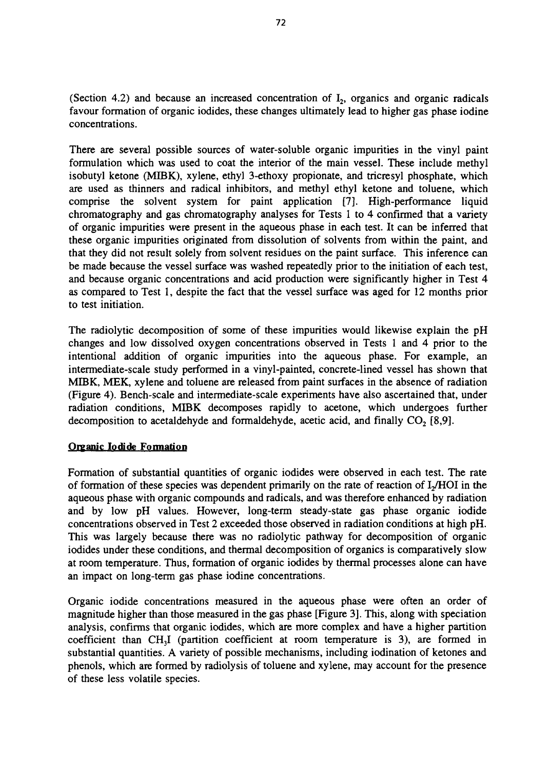(Section 4.2) and because an increased concentration of  $I_2$ , organics and organic radicals favour formation of organic iodides, these changes ultimately lead to higher gas phase iodine concentrations.

There are several possible sources of water-soluble organic impurities in the vinyl paint formulation which was used to coat the interior of the main vessel. These include methyl isobutyl ketone (MIBK), xylene, ethyl 3-ethoxy propionate, and tricresyl phosphate, which are used as thinners and radical inhibitors, and methyl ethyl ketone and toluene, which comprise the solvent system for paint application [7]. High-performance liquid chromatography and gas chromatography analyses for Tests 1 to 4 confirmed that a variety of organic impurities were present in the aqueous phase in each test. It can be inferred that these organic impurities originated from dissolution of solvents from within the paint, and that they did not result solely from solvent residues on the paint surface. This inference can be made because the vessel surface was washed repeatedly prior to the initiation of each test, and because organic concentrations and acid production were significantly higher in Test 4 as compared to Test 1, despite the fact that the vessel surface was aged for 12 months prior to test initiation.

The radiolytic decomposition of some of these impurities would likewise explain the pH changes and low dissolved oxygen concentrations observed in Tests 1 and 4 prior to the intentional addition of organic impurities into the aqueous phase. For example, an intermediate-scale study performed in a vinyl-painted, concrete-lined vessel has shown that MIBK, MEK, xylene and toluene are released from paint surfaces in the absence of radiation (Figure 4). Bench-scale and intermediate-scale experiments have also ascertained that, under radiation conditions, MIBK decomposes rapidly to acetone, which undergoes further decomposition to acetaldehyde and formaldehyde, acetic acid, and finally  $CO<sub>2</sub>$  [8,9].

#### Organic Iodide Formation

Formation of substantial quantities of organic iodides were observed in each test. The rate of formation of these species was dependent primarily on the rate of reaction of  $I<sub>2</sub>/HOI$  in the aqueous phase with organic compounds and radicals, and was therefore enhanced by radiation and by low pH values. However, long-term steady-state gas phase organic iodide concentrations observed in Test 2 exceeded those observed in radiation conditions at high pH. This was largely because there was no radiolytic pathway for decomposition of organic iodides under these conditions, and thermal decomposition of organics is comparatively slow at room temperature. Thus, formation of organic iodides by thermal processes alone can have an impact on long-term gas phase iodine concentrations.

Organic iodide concentrations measured in the aqueous phase were often an order of magnitude higher than those measured in the gas phase [Figure 3]. This, along with speciation analysis, confirms that organic iodides, which are more complex and have a higher partition coefficient than CH<sub>3</sub>I (partition coefficient at room temperature is 3), are formed in substantial quantities. A variety of possible mechanisms, including iodination of ketones and phenols, which are formed by radiolysis of toluene and xylene, may account for the presence of these less volatile species.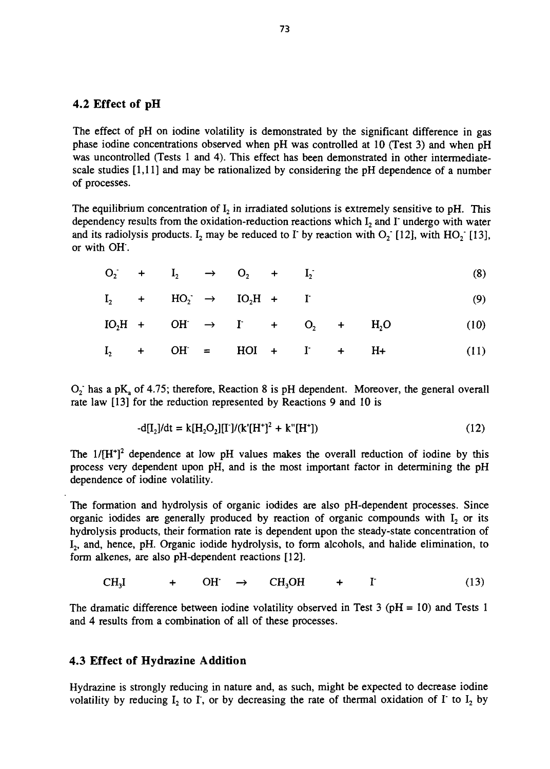#### 4.2 Effect of pH

The effect of pH on iodine volatility is demonstrated by the significant difference in gas phase iodine concentrations observed when pH was controlled at 10 (Test 3) and when pH was uncontrolled (Tests 1 and 4). This effect has been demonstrated in other intermediatescale studies [1,11] and may be rationalized by considering the pH dependence of a number of processes.

The equilibrium concentration of  $I_2$  in irradiated solutions is extremely sensitive to pH. This dependency results from the oxidation-reduction reactions which  $I_2$  and  $I$  undergo with water and its radiolysis products. I<sub>2</sub> may be reduced to I<sup>-</sup> by reaction with  $O_2$ <sup>-</sup> [12], with  $HO_2$ <sup>-</sup> [13], or with OH".

$$
O_2 + I_2 \rightarrow O_2 + I_2 \tag{8}
$$

$$
I_2 + HO_2 \rightarrow IO_2H + I \qquad (9)
$$

$$
IO2H + OH' \rightarrow I' + O2 + H2O (10)
$$
  

$$
I2 + OH' = HOI + I' + H+ (11)
$$

 $O_2$  has a pK<sub>a</sub> of 4.75; therefore, Reaction 8 is pH dependent. Moreover, the general overall rate law [13] for the reduction represented by Reactions 9 and 10 is

$$
-d[I_2]/dt = k[H_2O_2][T]/(k'[H^+]^2 + k''[H^+])
$$
\n(12)

The  $1/[H^+]^2$  dependence at low pH values makes the overall reduction of iodine by this process very dependent upon pH, and is the most important factor in determining the pH dependence of iodine volatility.

The formation and hydrolysis of organic iodides are also pH-dependent processes. Since organic iodides are generally produced by reaction of organic compounds with  $I_2$  or its hydrolysis products, their formation rate is dependent upon the steady-state concentration of I<sub>2</sub>, and, hence, pH. Organic iodide hydrolysis, to form alcohols, and halide elimination, to form alkenes, are also pH-dependent reactions [12].

$$
CH_3I \t\t + OH \t\t \to CH_3OH \t\t + I \t\t (13)
$$

The dramatic difference between iodine volatility observed in Test 3 ( $pH = 10$ ) and Tests 1 and 4 results from a combination of all of these processes.

#### **4.3 Effect of Hydrazine Addition**

Hydrazine is strongly reducing in nature and, as such, might be expected to decrease iodine volatility by reducing  $I_2$  to I, or by decreasing the rate of thermal oxidation of I to  $I_2$  by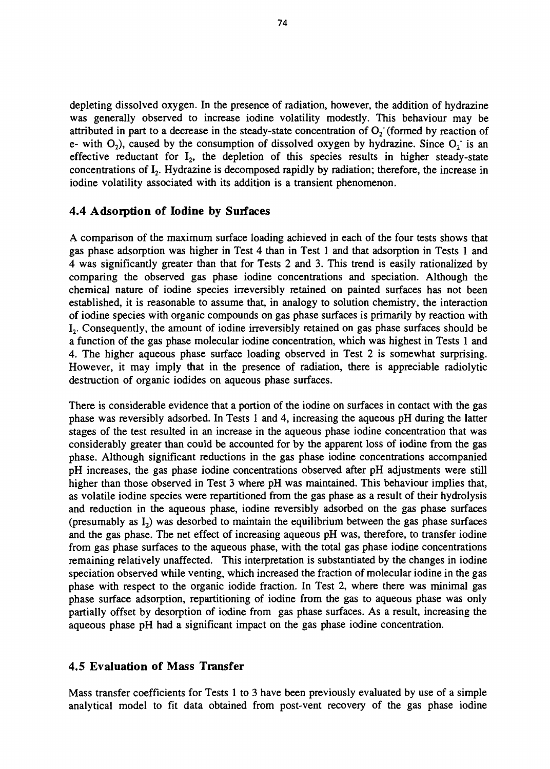depleting dissolved oxygen. In the presence of radiation, however, the addition of hydrazine was generally observed to increase iodine volatility modestly. This behaviour may be attributed in part to a decrease in the steady-state concentration of  $O_2$  (formed by reaction of e- with  $O_2$ ), caused by the consumption of dissolved oxygen by hydrazine. Since  $O_2$  is an effective reductant for  $I_2$ , the depletion of this species results in higher steady-state concentrations of  $I_2$ . Hydrazine is decomposed rapidly by radiation; therefore, the increase in iodine volatility associated with its addition is a transient phenomenon.

#### **4.4 Adsorption of Iodine by Surfaces**

A comparison of the maximum surface loading achieved in each of the four tests shows that gas phase adsorption was higher in Test 4 than in Test 1 and that adsorption in Tests 1 and 4 was significantly greater than that for Tests 2 and 3. This trend is easily rationalized by comparing the observed gas phase iodine concentrations and speciation. Although the chemical nature of iodine species irreversibly retained on painted surfaces has not been established, it is reasonable to assume that, in analogy to solution chemistry, the interaction of iodine species with organic compounds on gas phase surfaces is primarily by reaction with  $I_2$ . Consequently, the amount of iodine irreversibly retained on gas phase surfaces should be a function of the gas phase molecular iodine concentration, which was highest in Tests 1 and 4. The higher aqueous phase surface loading observed in Test 2 is somewhat surprising. However, it may imply that in the presence of radiation, there is appreciable radiolytic destruction of organic iodides on aqueous phase surfaces.

There is considerable evidence that a portion of the iodine on surfaces in contact with the gas phase was reversibly adsorbed. In Tests 1 and 4, increasing the aqueous pH during the latter stages of the test resulted in an increase in the aqueous phase iodine concentration that was considerably greater than could be accounted for by the apparent loss of iodine from the gas phase. Although significant reductions in the gas phase iodine concentrations accompanied pH increases, the gas phase iodine concentrations observed after pH adjustments were still higher than those observed in Test 3 where pH was maintained. This behaviour implies that, as volatile iodine species were repartitioned from the gas phase as a result of their hydrolysis and reduction in the aqueous phase, iodine reversibly adsorbed on the gas phase surfaces (presumably as  $I_2$ ) was desorbed to maintain the equilibrium between the gas phase surfaces and the gas phase. The net effect of increasing aqueous pH was, therefore, to transfer iodine from gas phase surfaces to the aqueous phase, with the total gas phase iodine concentrations remaining relatively unaffected. This interpretation is substantiated by the changes in iodine speciation observed while venting, which increased the fraction of molecular iodine in the gas phase with respect to the organic iodide fraction. In Test 2, where there was minimal gas phase surface adsorption, repartitioning of iodine from the gas to aqueous phase was only partially offset by desorption of iodine from gas phase surfaces. As a result, increasing the aqueous phase pH had a significant impact on the gas phase iodine concentration.

#### 4.5 Evaluation of Mass Transfer

Mass transfer coefficients for Tests 1 to 3 have been previously evaluated by use of a simple analytical model to fit data obtained from post-vent recovery of the gas phase iodine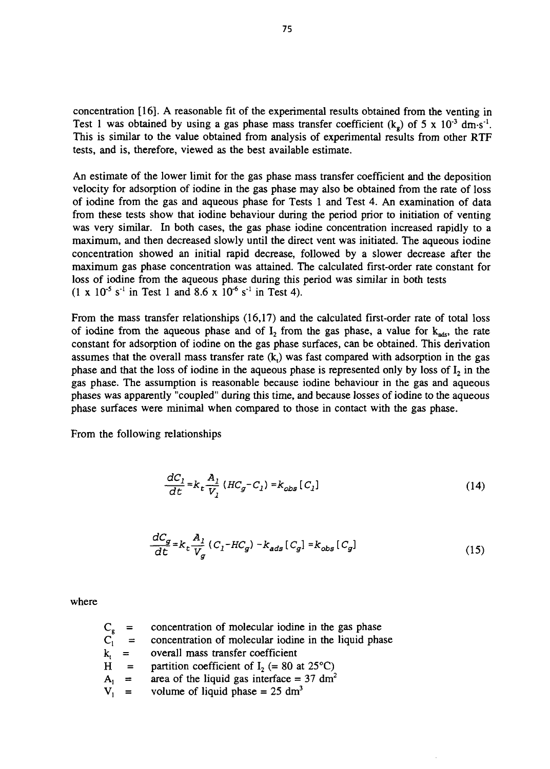concentration [16]. A reasonable fit of the experimental results obtained from the venting in Test 1 was obtained by using a gas phase mass transfer coefficient  $(k_g)$  of 5 x 10<sup>-3</sup> dm·s<sup>-1</sup>. This is similar to the value obtained from analysis of experimental results from other RTF tests, and is, therefore, viewed as the best available estimate.

An estimate of the lower limit for the gas phase mass transfer coefficient and the deposition velocity for adsorption of iodine in the gas phase may also be obtained from the rate of loss of iodine from the gas and aqueous phase for Tests 1 and Test 4. An examination of data from these tests show that iodine behaviour during the period prior to initiation of venting was very similar. In both cases, the gas phase iodine concentration increased rapidly to a maximum, and then decreased slowly until the direct vent was initiated. The aqueous iodine concentration showed an initial rapid decrease, followed by a slower decrease after the maximum gas phase concentration was attained. The calculated first-order rate constant for loss of iodine from the aqueous phase during this period was similar in both tests  $(1 \times 10^{-5} \text{ s}^{-1} \text{ in Test 1 and } 8.6 \times 10^{-6} \text{ s}^{-1} \text{ in Test 4}).$ 

From the mass transfer relationships (16,17) and the calculated first-order rate of total loss of iodine from the aqueous phase and of  $I_2$  from the gas phase, a value for  $k_{ads}$ , the rate constant for adsorption of iodine on the gas phase surfaces, can be obtained. This derivation assumes that the overall mass transfer rate  $(k<sub>t</sub>)$  was fast compared with adsorption in the gas phase and that the loss of iodine in the aqueous phase is represented only by loss of  $I_2$  in the gas phase. The assumption is reasonable because iodine behaviour in the gas and aqueous phases was apparently "coupled" during this time, and because losses of iodine to the aqueous phase surfaces were minimal when compared to those in contact with the gas phase.

From the following relationships

$$
\frac{dC_1}{dt} = k_t \frac{A_1}{V_1} (HC_g - C_1) = k_{obs} [C_1]
$$
\n(14)

$$
\frac{dC_g}{dt} = k_t \frac{A_l}{V_g} (C_l - HC_g) - k_{ads} [C_g] = k_{obs} [C_g]
$$
\n(15)

where

|         | $C_{g}$ = concentration of molecular iodine in the gas phase |
|---------|--------------------------------------------------------------|
| $C_1 =$ | concentration of molecular iodine in the liquid phase        |
|         | $k_{i}$ = overall mass transfer coefficient                  |
| $H =$   | partition coefficient of $I_2$ (= 80 at 25 <sup>o</sup> C)   |
| $A_1 =$ | area of the liquid gas interface = $37 \text{ dm}^2$         |
| $V_1 =$ | volume of liquid phase = $25 \text{ dm}^3$                   |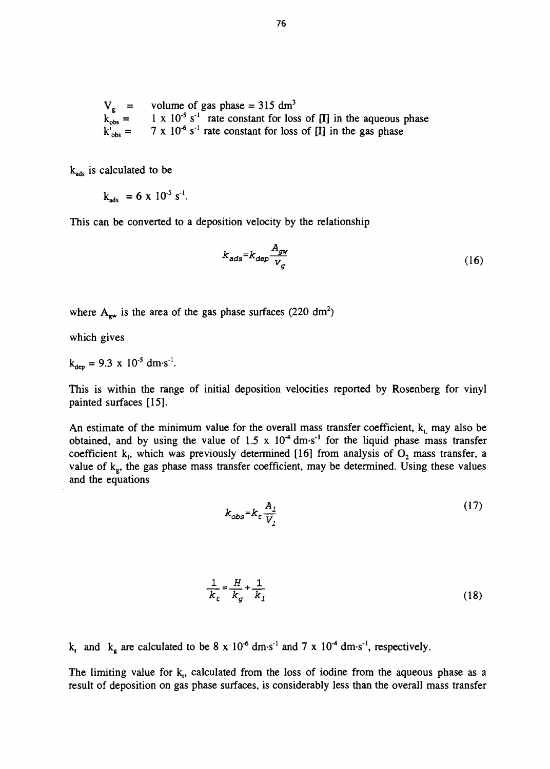$V_g$  = volume of gas phase = 315 dm<sup>3</sup>  $k_{obs}$  =<br> $k'_{obs}$  =  $=$  1 x 10<sup>-5</sup> s<sup>-1</sup> rate constant for loss of [I] in the aqueous phase  $k'_{obs} = 7 \times 10^{-6}$  s<sup>-1</sup> rate constant for loss of [I] in the gas phase

k<sub>ads</sub> is calculated to be

$$
k_{ads} = 6 \times 10^{-5} \text{ s}^{-1}.
$$

This can be converted to a deposition velocity by the relationship

$$
k_{ads} = k_{dep} \frac{A_{gw}}{V_g} \tag{16}
$$

where  $A_{\text{ew}}$  is the area of the gas phase surfaces (220 dm<sup>2</sup>)

which gives

$$
k_{dep} = 9.3 \times 10^{-5} \text{ dm} \cdot \text{s}^{-1}.
$$

This is within the range of initial deposition velocities reported by Rosenberg for vinyl painted surfaces [15].

An estimate of the minimum value for the overall mass transfer coefficient,  $k_t$  may also be obtained, and by using the value of  $1.5 \times 10^{-4}$  dm·s<sup>-1</sup> for the liquid phase mass transfer coefficient k<sub>1</sub>, which was previously determined [16] from analysis of  $O_2$  mass transfer, a value of  $k_{e}$ , the gas phase mass transfer coefficient, may be determined. Using these values and the equations

$$
k_{obs} = k_c \frac{A_l}{V_l} \tag{17}
$$

$$
\frac{1}{k_t} = \frac{H}{k_g} + \frac{1}{k_l} \tag{18}
$$

k<sub>t</sub> and k<sub>g</sub> are calculated to be 8 x 10<sup>-6</sup> dm·s<sup>-1</sup> and 7 x 10<sup>-4</sup> dm·s<sup>-1</sup>, respectively.

The limiting value for  $k<sub>t</sub>$ , calculated from the loss of iodine from the aqueous phase as a result of deposition on gas phase surfaces, is considerably less than the overall mass transfer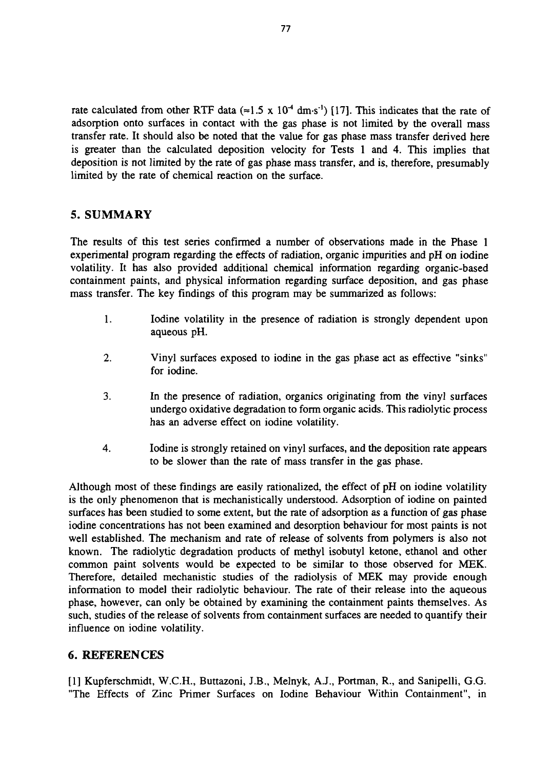rate calculated from other RTF data ( $\approx$ 1.5 x 10<sup>-4</sup> dm·s<sup>-1</sup>) [17]. This indicates that the rate of adsorption onto surfaces in contact with the gas phase is not limited by the overall mass transfer rate. It should also be noted that the value for gas phase mass transfer derived here is greater than the calculated deposition velocity for Tests 1 and 4. This implies that deposition is not limited by the rate of gas phase mass transfer, and is, therefore, presumably limited by the rate of chemical reaction on the surface.

# 5. SUMMARY

The results of this test series confirmed a number of observations made in the Phase 1 experimental program regarding the effects of radiation, organic impurities and pH on iodine volatility. It has also provided additional chemical information regarding organic-based containment paints, and physical information regarding surface deposition, and gas phase mass transfer. The key findings of this program may be summarized as follows:

- 1. Iodine volatility in the presence of radiation is strongly dependent upon aqueous pH.
- 2. Vinyl surfaces exposed to iodine in the gas phase act as effective "sinks" for iodine.
- 3. In the presence of radiation, organics originating from the vinyl surfaces undergo oxidative degradation to form organic acids. This radiolytic process has an adverse effect on iodine volatility.
- 4. Iodine is strongly retained on vinyl surfaces, and the deposition rate appears to be slower than the rate of mass transfer in the gas phase.

Although most of these findings are easily rationalized, the effect of pH on iodine volatility is the only phenomenon that is mechanistically understood. Adsorption of iodine on painted surfaces has been studied to some extent, but the rate of adsorption as a function of gas phase iodine concentrations has not been examined and desorption behaviour for most paints is not well established. The mechanism and rate of release of solvents from polymers is also not known. The radiolytic degradation products of methyl isobutyl ketone, ethanol and other common paint solvents would be expected to be similar to those observed for MEK. Therefore, detailed mechanistic studies of the radiolysis of MEK may provide enough information to model their radiolytic behaviour. The rate of their release into the aqueous phase, however, can only be obtained by examining the containment paints themselves. As such, studies of the release of solvents from containment surfaces are needed to quantify their influence on iodine volatility.

### 6. REFERENCES

[1] Kupferschmidt, W.C.H., Buttazoni, J.B., Melnyk, A.J., Portman, R., and Sanipelli, G.G. "The Effects of Zinc Primer Surfaces on Iodine Behaviour Within Containment", in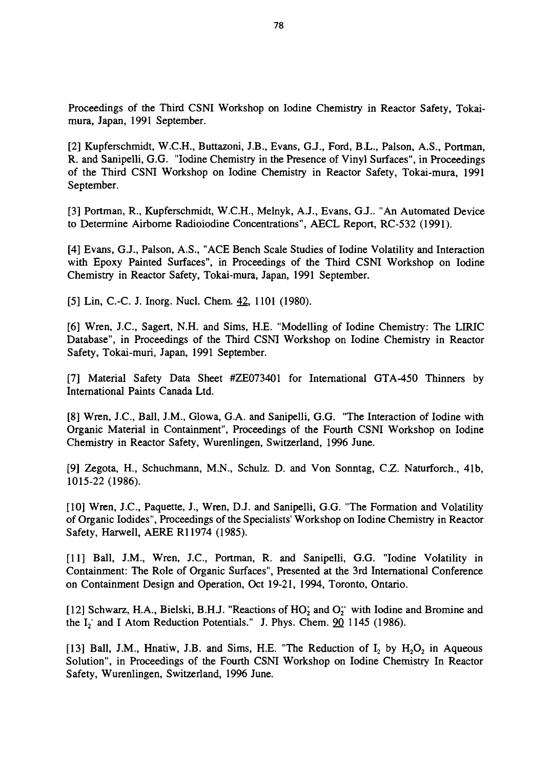Proceedings of the Third CSNI Workshop on Iodine Chemistry in Reactor Safety, Tokaimura, Japan, 1991 September.

[2] Kupferschmidt, W.C.H., Buttazoni, J.B., Evans, G.J., Ford, B.L., Palson, A.S., Portman, R. and Sanipelli, G.G. "Iodine Chemistry in the Presence of Vinyl Surfaces", in Proceedings of the Third CSNI Workshop on Iodine Chemistry in Reactor Safety, Tokai-mura, 1991 September.

[3] Portman, R., Kupferschmidt, W.C.H., Melnyk, A.J., Evans, G.J.. "An Automated Device to Determine Airborne Radioiodine Concentrations", AECL Report, RC-532 (1991).

[4] Evans, G.J., Palson, A.S., "ACE Bench Scale Studies of Iodine Volatility and Interaction with Epoxy Painted Surfaces", in Proceedings of the Third CSNI Workshop on Iodine Chemistry in Reactor Safety, Tokai-mura, Japan, 1991 September.

[5] Lin, C.-C. J. Inorg. Nucl. Chem. 42, 1101 (1980).

[6] Wren, J.C., Sagert, N.H. and Sims, H.E. "Modelling of Iodine Chemistry: The LIRIC Database", in Proceedings of the Third CSNI Workshop on Iodine Chemistry in Reactor Safety, Tokai-muri, Japan, 1991 September.

[7] Material Safety Data Sheet #ZE073401 for International GTA-450 Thinners by International Paints Canada Ltd.

[8] Wren, J.C., Ball, J.M., Glowa, G.A. and Sanipelli, G.G. "The Interaction of Iodine with Organic Material in Containment", Proceedings of the Fourth CSNI Workshop on Iodine Chemistry in Reactor Safety, Wurenlingen, Switzerland, 1996 June.

[9] Zegota, H., Schuchmann, M.N., Schulz. D. and Von Sonntag, C.Z. Naturforch., 41b, 1015-22 (1986).

[10] Wren, J.C., Paquette, J., Wren, D.J. and Sanipelli, G.G. "The Formation and Volatility of Organic Iodides", Proceedings of the Specialists' Workshop on Iodine Chemistry in Reactor Safety, Harwell, AERE R11974 (1985).

[11] Ball, J.M., Wren, J.C., Portman, R. and Sanipelli, G.G. "Iodine Volatility in Containment: The Role of Organic Surfaces", Presented at the 3rd International Conference on Containment Design and Operation, Oct 19-21, 1994, Toronto, Ontario.

[12] Schwarz, H.A., Bielski, B.H.J. "Reactions of  $HO<sub>2</sub>$  and  $O<sub>2</sub>$ " with Iodine and Bromine and the I<sub>2</sub> and I Atom Reduction Potentials." J. Phys. Chem. 90 1145 (1986).

[13] Ball, J.M., Hnatiw, J.B. and Sims, H.E. "The Reduction of  $I_2$  by  $H_2O_2$  in Aqueous Solution", in Proceedings of the Fourth CSNI Workshop on Iodine Chemistry In Reactor Safety, Wurenlingen, Switzerland, 1996 June.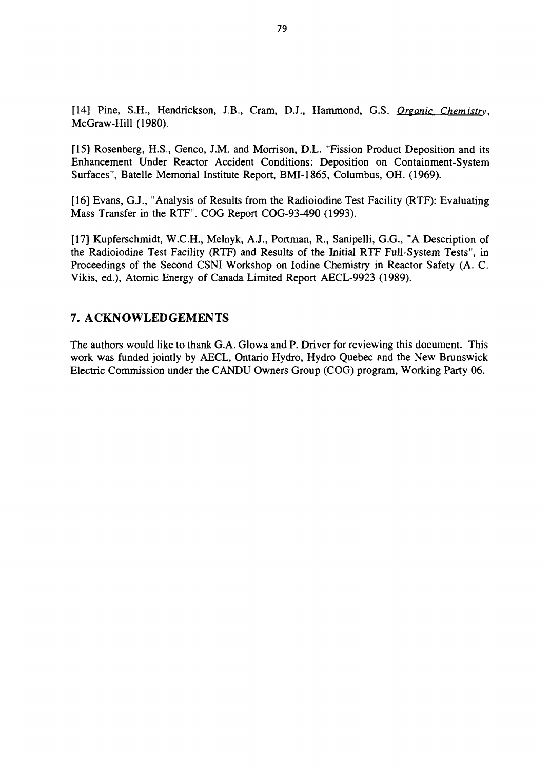[14] Pine, S.H., Hendrickson, J.B., Cram, D.J., Hammond, G.S. *Organic Chemistry.* McGraw-Hill (1980).

[15] Rosenberg, H.S., Genco, J.M. and Morrison, D.L. "Fission Product Deposition and its Enhancement Under Reactor Accident Conditions: Deposition on Containment-System Surfaces", Batelle Memorial Institute Report, BMI-1865, Columbus, OH. (1969).

[16] Evans, G.J., "Analysis of Results from the Radioiodine Test Facility (RTF): Evaluating Mass Transfer in the RTF". COG Report COG-93-490 (1993).

[17] Kupferschmidt, W.C.H., Melnyk, A.J., Portman, R., Sanipelli, G.G., "A Description of the Radioiodine Test Facility (RTF) and Results of the Initial RTF Full-System Tests", in Proceedings of the Second CSNI Workshop on Iodine Chemistry in Reactor Safety (A. C. Vikis, ed.), Atomic Energy of Canada Limited Report AECL-9923 (1989).

# 7. ACKNOWLEDGEMENTS

The authors would like to thank G.A. Glowa and P. Driver for reviewing this document. This work was funded jointly by AECL, Ontario Hydro, Hydro Quebec and the New Brunswick Electric Commission under the CANDU Owners Group (COG) program, Working Party 06.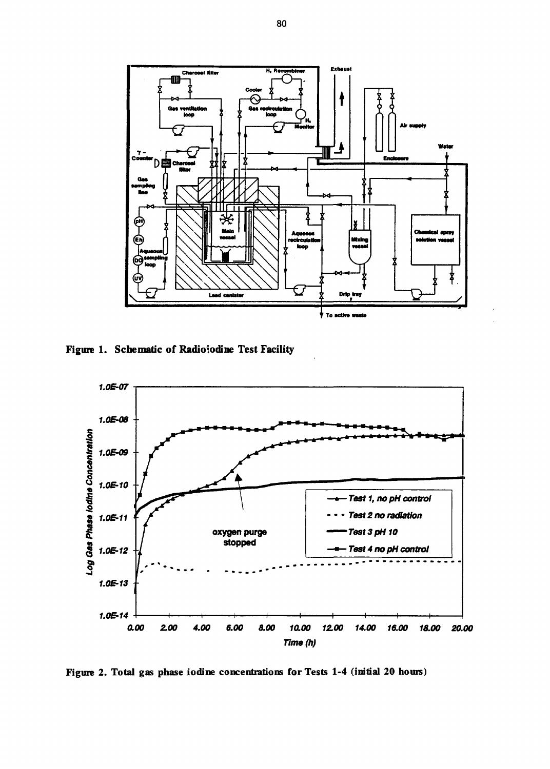

**Figure 1. Schematic of Radioiodine Test Facility**



**Figure 2. Total gas phase iodine concentrations for Tests 1-4 (initial 20 hours)**